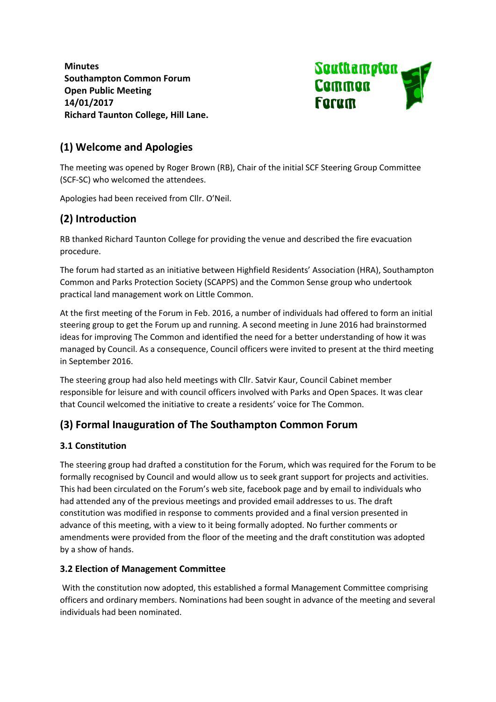**Minutes Southampton Common Forum Open Public Meeting 14/01/2017 Richard Taunton College, Hill Lane.**



## **(1) Welcome and Apologies**

The meeting was opened by Roger Brown (RB), Chair of the initial SCF Steering Group Committee (SCF-SC) who welcomed the attendees.

Apologies had been received from Cllr. O'Neil.

## **(2) Introduction**

RB thanked Richard Taunton College for providing the venue and described the fire evacuation procedure.

The forum had started as an initiative between Highfield Residents' Association (HRA), Southampton Common and Parks Protection Society (SCAPPS) and the Common Sense group who undertook practical land management work on Little Common.

At the first meeting of the Forum in Feb. 2016, a number of individuals had offered to form an initial steering group to get the Forum up and running. A second meeting in June 2016 had brainstormed ideas for improving The Common and identified the need for a better understanding of how it was managed by Council. As a consequence, Council officers were invited to present at the third meeting in September 2016.

The steering group had also held meetings with Cllr. Satvir Kaur, Council Cabinet member responsible for leisure and with council officers involved with Parks and Open Spaces. It was clear that Council welcomed the initiative to create a residents' voice for The Common.

# **(3) Formal Inauguration of The Southampton Common Forum**

#### **3.1 Constitution**

The steering group had drafted a constitution for the Forum, which was required for the Forum to be formally recognised by Council and would allow us to seek grant support for projects and activities. This had been circulated on the Forum's web site, facebook page and by email to individuals who had attended any of the previous meetings and provided email addresses to us. The draft constitution was modified in response to comments provided and a final version presented in advance of this meeting, with a view to it being formally adopted. No further comments or amendments were provided from the floor of the meeting and the draft constitution was adopted by a show of hands.

#### **3.2 Election of Management Committee**

With the constitution now adopted, this established a formal Management Committee comprising officers and ordinary members. Nominations had been sought in advance of the meeting and several individuals had been nominated.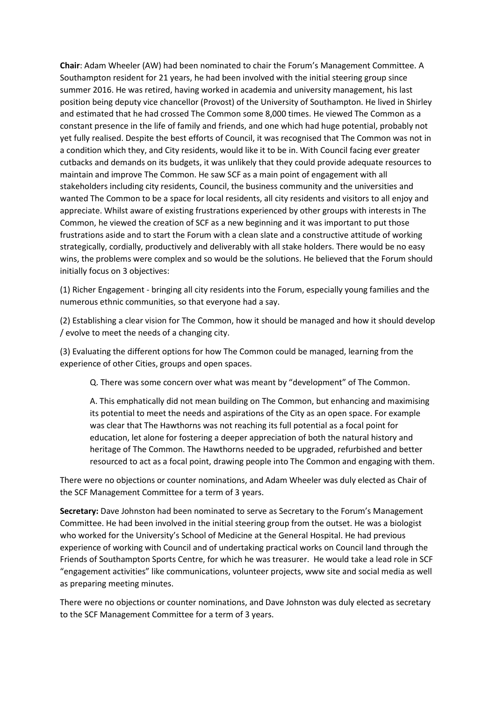**Chair**: Adam Wheeler (AW) had been nominated to chair the Forum's Management Committee. A Southampton resident for 21 years, he had been involved with the initial steering group since summer 2016. He was retired, having worked in academia and university management, his last position being deputy vice chancellor (Provost) of the University of Southampton. He lived in Shirley and estimated that he had crossed The Common some 8,000 times. He viewed The Common as a constant presence in the life of family and friends, and one which had huge potential, probably not yet fully realised. Despite the best efforts of Council, it was recognised that The Common was not in a condition which they, and City residents, would like it to be in. With Council facing ever greater cutbacks and demands on its budgets, it was unlikely that they could provide adequate resources to maintain and improve The Common. He saw SCF as a main point of engagement with all stakeholders including city residents, Council, the business community and the universities and wanted The Common to be a space for local residents, all city residents and visitors to all enjoy and appreciate. Whilst aware of existing frustrations experienced by other groups with interests in The Common, he viewed the creation of SCF as a new beginning and it was important to put those frustrations aside and to start the Forum with a clean slate and a constructive attitude of working strategically, cordially, productively and deliverably with all stake holders. There would be no easy wins, the problems were complex and so would be the solutions. He believed that the Forum should initially focus on 3 objectives:

(1) Richer Engagement - bringing all city residents into the Forum, especially young families and the numerous ethnic communities, so that everyone had a say.

(2) Establishing a clear vision for The Common, how it should be managed and how it should develop / evolve to meet the needs of a changing city.

(3) Evaluating the different options for how The Common could be managed, learning from the experience of other Cities, groups and open spaces.

Q. There was some concern over what was meant by "development" of The Common.

A. This emphatically did not mean building on The Common, but enhancing and maximising its potential to meet the needs and aspirations of the City as an open space. For example was clear that The Hawthorns was not reaching its full potential as a focal point for education, let alone for fostering a deeper appreciation of both the natural history and heritage of The Common. The Hawthorns needed to be upgraded, refurbished and better resourced to act as a focal point, drawing people into The Common and engaging with them.

There were no objections or counter nominations, and Adam Wheeler was duly elected as Chair of the SCF Management Committee for a term of 3 years.

**Secretary:** Dave Johnston had been nominated to serve as Secretary to the Forum's Management Committee. He had been involved in the initial steering group from the outset. He was a biologist who worked for the University's School of Medicine at the General Hospital. He had previous experience of working with Council and of undertaking practical works on Council land through the Friends of Southampton Sports Centre, for which he was treasurer. He would take a lead role in SCF "engagement activities" like communications, volunteer projects, www site and social media as well as preparing meeting minutes.

There were no objections or counter nominations, and Dave Johnston was duly elected as secretary to the SCF Management Committee for a term of 3 years.